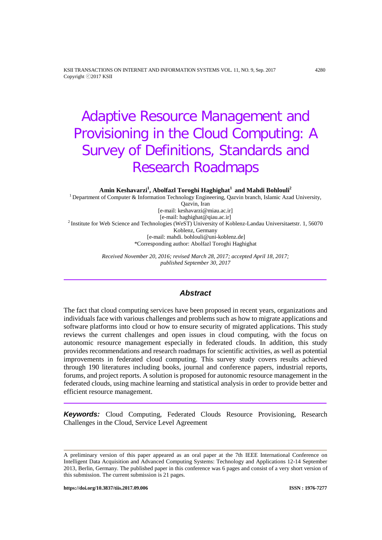# Adaptive Resource Management and Provisioning in the Cloud Computing: A Survey of Definitions, Standards and Research Roadmaps

**Amin Keshavarzi1 , Abolfazl Toroghi Haghighat1 and Mahdi Bohlouli<sup>2</sup>**

<sup>1</sup> Department of Computer & Information Technology Engineering, Qazvin branch, Islamic Azad University, Qazvin, Iran [e-mail: keshavarzi@miau.ac.ir] [e-mail: haghighat@qiau.ac.ir] <sup>2</sup> Institute for Web Science and Technologies (WeST) University of Koblenz-Landau Universitaetstr. 1, 56070 Koblenz, Germany [e-mail: mahdi. bohlouli@uni-koblenz.de] \*Corresponding author: Abolfazl Toroghi Haghighat

> *Received November 20, 2016; revised March 28, 2017; accepted April 18, 2017; published September 30, 2017*

# *Abstract*

The fact that cloud computing services have been proposed in recent years, organizations and individuals face with various challenges and problems such as how to migrate applications and software platforms into cloud or how to ensure security of migrated applications. This study reviews the current challenges and open issues in cloud computing, with the focus on autonomic resource management especially in federated clouds. In addition, this study provides recommendations and research roadmaps for scientific activities, as well as potential improvements in federated cloud computing. This survey study covers results achieved through 190 literatures including books, journal and conference papers, industrial reports, forums, and project reports. A solution is proposed for autonomic resource management in the federated clouds, using machine learning and statistical analysis in order to provide better and efficient resource management.

*Keywords:* Cloud Computing, Federated Clouds Resource Provisioning, Research Challenges in the Cloud, Service Level Agreement

<span id="page-0-0"></span>A preliminary version of this paper appeared as an oral paper at the 7th IEEE International Conference on Intelligent Data Acquisition and Advanced Computing Systems: Technology and Applications 12-14 September 2013, Berlin, Germany. The published paper in this conference was 6 pages and consist of a very short version of this submission. The current submission is 21 pages.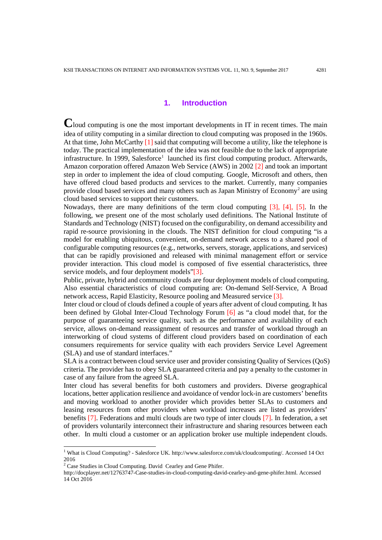## **1. Introduction**

**C**loud computing is one the most important developments in IT in recent times. The main idea of utility computing in a similar direction to cloud computing was proposed in the 1960s. At that time, John McCarthy [1] said that computing will become a utility, like the telephone is today. The practical implementation of the idea was not feasible due to the lack of appropriate infrastructure. In [1](#page-0-0)999, Salesforce<sup>1</sup> launched its first cloud computing product. Afterwards, Amazon corporation offered Amazon Web Service (AWS) in 2002 [2] and took an important step in order to implement the idea of cloud computing. Google, Microsoft and others, then have offered cloud based products and services to the market. Currently, many companies provide cloud based services and many others such as Japan Ministry of Economy[2](#page-1-0) are using cloud based services to support their customers.

Nowadays, there are many definitions of the term cloud computing [3], [4], [5]. In the following, we present one of the most scholarly used definitions. The National Institute of Standards and Technology (NIST) focused on the configurability, on demand accessibility and rapid re-source provisioning in the clouds. The NIST definition for cloud computing "is a model for enabling ubiquitous, convenient, on-demand network access to a shared pool of configurable computing resources (e.g., networks, servers, storage, applications, and services) that can be rapidly provisioned and released with minimal management effort or service provider interaction. This cloud model is composed of five essential characteristics, three service models, and four deployment models"[3].

Public, private, hybrid and community clouds are four deployment models of cloud computing. Also essential characteristics of cloud computing are: On-demand Self-Service, A Broad network access, Rapid Elasticity, Resource pooling and Measured service [3].

Inter cloud or cloud of clouds defined a couple of years after advent of cloud computing. It has been defined by Global Inter-Cloud Technology Forum [6] as "a cloud model that, for the purpose of guaranteeing service quality, such as the performance and availability of each service, allows on-demand reassignment of resources and transfer of workload through an interworking of cloud systems of different cloud providers based on coordination of each consumers requirements for service quality with each providers Service Level Agreement (SLA) and use of standard interfaces."

SLA is a contract between cloud service user and provider consisting Quality of Services (QoS) criteria. The provider has to obey SLA guaranteed criteria and pay a penalty to the customer in case of any failure from the agreed SLA.

Inter cloud has several benefits for both customers and providers. Diverse geographical locations, better application resilience and avoidance of vendor lock-in are customers' benefits and moving workload to another provider which provides better SLAs to customers and leasing resources from other providers when workload increases are listed as providers' benefits [7]. Federations and multi clouds are two type of inter clouds [7]. In federation, a set of providers voluntarily interconnect their infrastructure and sharing resources between each other. In multi cloud a customer or an application broker use multiple independent clouds.

-

<sup>&</sup>lt;sup>1</sup> What is Cloud Computing? - Salesforce UK. http://www.salesforce.com/uk/cloudcomputing/. Accessed 14 Oct 2016

<span id="page-1-0"></span> $2^2$  Case Studies in Cloud Computing. David Cearley and Gene Phifer.

http://docplayer.net/12763747-Case-studies-in-cloud-computing-david-cearley-and-gene-phifer.html. Accessed 14 Oct 2016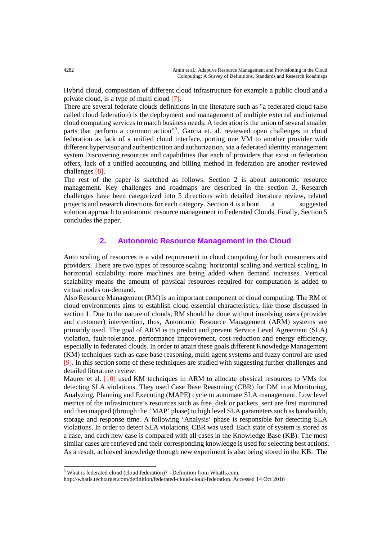Hybrid cloud, composition of different cloud infrastructure for example a public cloud and a private cloud, is a type of multi cloud [7].

There are several federate clouds definitions in the literature such as "a federated cloud (also called cloud federation) is the deployment and management of multiple external and internal cloud computing services to match business needs. A federation is the union of several smaller parts that perform a common action"<sup>[3](#page-2-0)</sup>. Garcia et. al. reviewed open challenges in cloud federation as lack of a unified cloud interface, porting one VM to another provider with different hypervisor and authentication and authorization, via a federated identity management system.Discovering resources and capabilities that each of providers that exist in federation offers, lack of a unified accounting and billing method in federation are another reviewed challenges [8].

The rest of the paper is sketched as follows. Section 2 is about autonomic resource management. Key challenges and roadmaps are described in the section 3. Research challenges have been categorized into 5 directions with detailed literature review, related projects and research directions for each category. Section 4 is a bout a suggested solution approach to autonomic resource management in Federated Clouds. Finally, Section 5 concludes the paper.

# **2. Autonomic Resource Management in the Cloud**

Auto scaling of resources is a vital requirement in cloud computing for both consumers and providers. There are two types of resource scaling: horizontal scaling and vertical scaling. In horizontal scalability more machines are being added when demand increases. Vertical scalability means the amount of physical resources required for computation is added to virtual nodes on-demand.

Also Resource Management (RM) is an important component of cloud computing. The RM of cloud environments aims to establish cloud essential characteristics, like those discussed in section 1. Due to the nature of clouds, RM should be done without involving users (provider and customer) intervention, thus, Autonomic Resource Management (ARM) systems are primarily used. The goal of ARM is to predict and prevent Service Level Agreement (SLA) violation, fault-tolerance, performance improvement, cost reduction and energy efficiency, especially in federated clouds. In order to attain these goals different Knowledge Management (KM) techniques such as case base reasoning, multi agent systems and fuzzy control are used [9]. In this section some of these techniques are studied with suggesting further challenges and detailed literature review.

Maurer et al. [10] used KM techniques in ARM to allocate physical resources to VMs for detecting SLA violations. They used Case Base Reasoning (CBR) for DM in a Monitoring, Analyzing, Planning and Executing (MAPE) cycle to automate SLA management. Low level metrics of the infrastructure's resources such as free\_disk or packets\_sent are first monitored and then mapped (through the 'MAP' phase) to high level SLA parameters such as bandwidth, storage and response time. A following 'Analysis' phase is responsible for detecting SLA violations. In order to detect SLA violations, CBR was used. Each state of system is stored as a case, and each new case is compared with all cases in the Knowledge Base (KB). The most similar cases are retrieved and their corresponding knowledge is used for selecting best actions. As a result, achieved knowledge through new experiment is also being stored in the KB. The

-

<span id="page-2-0"></span><sup>3</sup> What is federated cloud (cloud federation)? - Definition from WhatIs.com.

http://whatis.techtarget.com/definition/federated-cloud-cloud-federation. Accessed 14 Oct 2016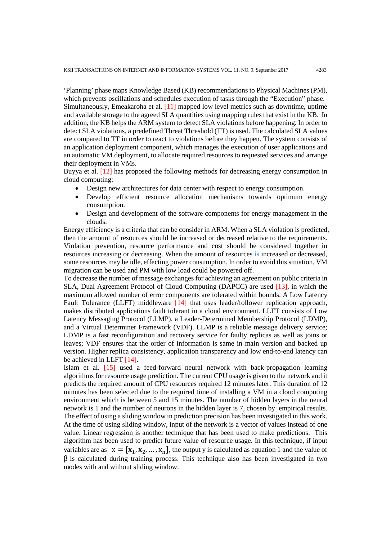'Planning' phase maps Knowledge Based (KB) recommendations to Physical Machines (PM), which prevents oscillations and schedules execution of tasks through the "Execution" phase. Simultaneously, Emeakaroha et al. [11] mapped low level metrics such as downtime, uptime and available storage to the agreed SLA quantities using mapping rules that exist in the KB. In addition, the KB helps the ARM system to detect SLA violations before happening. In order to detect SLA violations, a predefined Threat Threshold (TT) is used. The calculated SLA values are compared to TT in order to react to violations before they happen. The system consists of an application deployment component, which manages the execution of user applications and an automatic VM deployment, to allocate required resources to requested services and arrange their deployment in VMs.

Buyya et al. [12] has proposed the following methods for decreasing energy consumption in cloud computing:

- Design new architectures for data center with respect to energy consumption.
- Develop efficient resource allocation mechanisms towards optimum energy consumption.
- Design and development of the software components for energy management in the clouds.

Energy efficiency is a criteria that can be consider in ARM. When a SLA violation is predicted, then the amount of resources should be increased or decreased relative to the requirements. Violation prevention, resource performance and cost should be considered together in resources increasing or decreasing. When the amount of resources **is** increased or decreased, some resources may be idle**,** effecting power consumption. In order to avoid this situation, VM migration can be used and PM with low load could be powered off.

To decrease the number of message exchanges for achieving an agreement on public criteria in SLA, Dual Agreement Protocol of Cloud-Computing (DAPCC) are used [13], in which the maximum allowed number of error components are tolerated within bounds. A Low Latency Fault Tolerance (LLFT) middleware [14] that uses leader/follower replication approach, makes distributed applications fault tolerant in a cloud environment. LLFT consists of Low Latency Messaging Protocol (LLMP), a Leader-Determined Membership Protocol (LDMP), and a Virtual Determiner Framework (VDF). LLMP is a reliable message delivery service; LDMP is a fast reconfiguration and recovery service for faulty replicas as well as joins or leaves; VDF ensures that the order of information is same in main version and backed up version. Higher replica consistency, application transparency and low end-to-end latency can be achieved in LLFT [14].

Islam et al. [15] used a feed-forward neural network with back-propagation learning algorithms for resource usage prediction. The current CPU usage is given to the network and it predicts the required amount of CPU resources required 12 minutes later. This duration of 12 minutes has been selected due to the required time of installing a VM in a cloud computing environment which is between 5 and 15 minutes. The number of hidden layers in the neural network is 1 and the number of neurons in the hidden layer is 7, chosen by empirical results. The effect of using a sliding window in prediction precision has been investigated in this work. At the time of using sliding window, input of the network is a vector of values instead of one value. Linear regression is another technique that has been used to make predictions. This algorithm has been used to predict future value of resource usage. In this technique, if input variables are as  $x = [x_1, x_2, ..., x_n]$ , the output y is calculated as equation 1 and the value of  $\beta$  is calculated during training process. This technique also has been investigated in two modes with and without sliding window.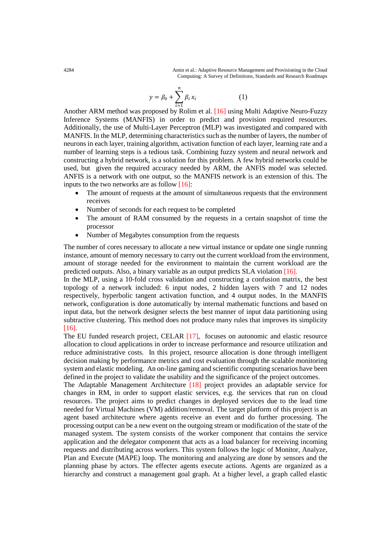4284 Amin et al.: Adaptive Resource Management and Provisioning in the Cloud Computing: A Survey of Definitions, Standards and Research Roadmaps

$$
y = \beta_0 + \sum_{i=1}^{n} \beta_i x_i
$$
 (1)

Another ARM method was proposed by Rolim et al. [16] using Multi Adaptive Neuro-Fuzzy Inference Systems (MANFIS) in order to predict and provision required resources. Additionally, the use of Multi-Layer Perceptron (MLP) was investigated and compared with MANFIS. In the MLP, determining characteristics such as the number of layers, the number of neurons in each layer, training algorithm, activation function of each layer, learning rate and a number of learning steps is a tedious task. Combining fuzzy system and neural network and constructing a hybrid network, is a solution for this problem. A few hybrid networks could be used, but given the required accuracy needed by ARM, the ANFIS model was selected. ANFIS is a network with one output, so the MANFIS network is an extension of this. The inputs to the two networks are as follow [16]:

- The amount of requests at the amount of simultaneous requests that the environment receives
- Number of seconds for each request to be completed
- The amount of RAM consumed by the requests in a certain snapshot of time the processor
- Number of Megabytes consumption from the requests

The number of cores necessary to allocate a new virtual instance or update one single running instance, amount of memory necessary to carry out the current workload from the environment, amount of storage needed for the environment to maintain the current workload are the predicted outputs. Also, a binary variable as an output predicts SLA violation [16].

In the MLP, using a 10-fold cross validation and constructing a confusion matrix, the best topology of a network included: 6 input nodes, 2 hidden layers with 7 and 12 nodes respectively, hyperbolic tangent activation function, and 4 output nodes. In the MANFIS network, configuration is done automatically by internal mathematic functions and based on input data, but the network designer selects the best manner of input data partitioning using subtractive clustering. This method does not produce many rules that improves its simplicity [16].

The EU funded research project, CELAR [17], focuses on autonomic and elastic resource allocation to cloud applications in order to increase performance and resource utilization and reduce administrative costs. In this project, resource allocation is done through intelligent decision making by performance metrics and cost evaluation through the scalable monitoring system and elastic modeling. An on-line gaming and scientific computing scenarios have been defined in the project to validate the usability and the significance of the project outcomes.

The Adaptable Management Architecture [18] project provides an adaptable service for changes in RM, in order to support elastic services, e.g. the services that run on cloud resources. The project aims to predict changes in deployed services due to the lead time needed for Virtual Machines (VM) addition/removal. The target platform of this project is an agent based architecture where agents receive an event and do further processing. The processing output can be a new event on the outgoing stream or modification of the state of the managed system. The system consists of the worker component that contains the service application and the delegator component that acts as a load balancer for receiving incoming requests and distributing across workers. This system follows the logic of Monitor, Analyze, Plan and Execute (MAPE) loop. The monitoring and analyzing are done by sensors and the planning phase by actors. The effecter agents execute actions. Agents are organized as a hierarchy and construct a management goal graph. At a higher level, a graph called elastic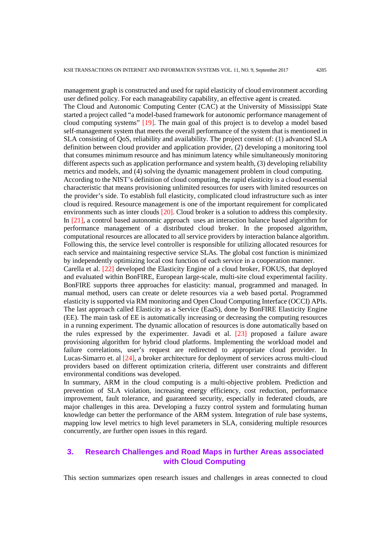management graph is constructed and used for rapid elasticity of cloud environment according user defined policy. For each manageability capability, an effective agent is created.

The Cloud and Autonomic Computing Center (CAC) at the University of Mississippi State started a project called "a model-based framework for autonomic performance management of cloud computing systems" [19]. The main goal of this project is to develop a model based self-management system that meets the overall performance of the system that is mentioned in SLA consisting of QoS, reliability and availability. The project consist of: (1) advanced SLA definition between cloud provider and application provider, (2) developing a monitoring tool that consumes minimum resource and has minimum latency while simultaneously monitoring different aspects such as application performance and system health, (3) developing reliability metrics and models, and (4) solving the dynamic management problem in cloud computing. According to the NIST's definition of cloud computing, the rapid elasticity is a cloud essential characteristic that means provisioning unlimited resources for users with limited resources on the provider's side. To establish full elasticity, complicated cloud infrastructure such as inter cloud is required. Resource management is one of the important requirement for complicated environments such as inter clouds [20]. Cloud broker is a solution to address this complexity. In [21], a control based autonomic approach uses an interaction balance based algorithm for performance management of a distributed cloud broker. In the proposed algorithm, computational resources are allocated to all service providers by interaction balance algorithm. Following this, the service level controller is responsible for utilizing allocated resources for each service and maintaining respective service SLAs. The global cost function is minimized by independently optimizing local cost function of each service in a cooperation manner. Carella et al. [22] developed the Elasticity Engine of a cloud broker, FOKUS, that deployed

and evaluated within BonFIRE, European large-scale, multi-site cloud experimental facility. BonFIRE supports three approaches for elasticity: manual, programmed and managed. In manual method, users can create or delete resources via a web based portal. Programmed elasticity is supported via RM monitoring and Open Cloud Computing Interface (OCCI) APIs. The last approach called Elasticity as a Service (EaaS), done by BonFIRE Elasticity Engine (EE). The main task of EE is automatically increasing or decreasing the computing resources in a running experiment. The dynamic allocation of resources is done automatically based on the rules expressed by the experimenter. Javadi et al. [23] proposed a failure aware provisioning algorithm for hybrid cloud platforms. Implementing the workload model and failure correlations, user's request are redirected to appropriate cloud provider. In Lucas-Simarro et. al [24], a broker architecture for deployment of services across multi-cloud providers based on different optimization criteria, different user constraints and different environmental conditions was developed.

In summary, ARM in the cloud computing is a multi-objective problem. Prediction and prevention of SLA violation, increasing energy efficiency, cost reduction, performance improvement, fault tolerance, and guaranteed security, especially in federated clouds, are major challenges in this area. Developing a fuzzy control system and formulating human knowledge can better the performance of the ARM system. Integration of rule base systems, mapping low level metrics to high level parameters in SLA, considering multiple resources concurrently, are further open issues in this regard.

# **3. Research Challenges and Road Maps in further Areas associated with Cloud Computing**

This section summarizes open research issues and challenges in areas connected to cloud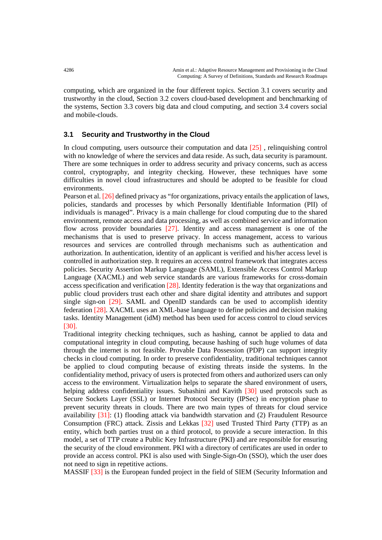computing, which are organized in the four different topics. Section 3.1 covers security and trustworthy in the cloud, Section 3.2 covers cloud-based development and benchmarking of the systems, Section 3.3 covers big data and cloud computing, and section 3.4 covers social and mobile-clouds.

## **3.1 Security and Trustworthy in the Cloud**

In cloud computing, users outsource their computation and data [25] , relinquishing control with no knowledge of where the services and data reside. As such, data security is paramount. There are some techniques in order to address security and privacy concerns, such as access control, cryptography, and integrity checking. However, these techniques have some difficulties in novel cloud infrastructures and should be adopted to be feasible for cloud environments.

Pearson et al. [26] defined privacy as "for organizations, privacy entails the application of laws, policies, standards and processes by which Personally Identifiable Information (PII) of individuals is managed". Privacy is a main challenge for cloud computing due to the shared environment, remote access and data processing, as well as combined service and information flow across provider boundaries [27]. Identity and access management is one of the mechanisms that is used to preserve privacy. In access management, access to various resources and services are controlled through mechanisms such as authentication and authorization. In authentication, identity of an applicant is verified and his/her access level is controlled in authorization step. It requires an access control framework that integrates access policies. Security Assertion Markup Language (SAML), Extensible Access Control Markup Language (XACML) and web service standards are various frameworks for cross-domain access specification and verification [28]. Identity federation is the way that organizations and public cloud providers trust each other and share digital identity and attributes and support single sign-on [29]. SAML and OpenID standards can be used to accomplish identity federation [28]. XACML uses an XML-base language to define policies and decision making tasks. Identity Management (idM) method has been used for access control to cloud services [30].

Traditional integrity checking techniques, such as hashing, cannot be applied to data and computational integrity in cloud computing, because hashing of such huge volumes of data through the internet is not feasible. Provable Data Possession (PDP) can support integrity checks in cloud computing. In order to preserve confidentiality, traditional techniques cannot be applied to cloud computing because of existing threats inside the systems. In the confidentiality method, privacy of users is protected from others and authorized users can only access to the environment. Virtualization helps to separate the shared environment of users, helping address confidentiality issues. Subashini and Kavith [30] used protocols such as Secure Sockets Layer (SSL) or Internet Protocol Security (IPSec) in encryption phase to prevent security threats in clouds. There are two main types of threats for cloud service availability [31]: (1) flooding attack via bandwidth starvation and (2) Fraudulent Resource Consumption (FRC) attack. Zissis and Lekkas [32] used Trusted Third Party (TTP) as an entity, which both parties trust on a third protocol, to provide a secure interaction. In this model, a set of TTP create a Public Key Infrastructure (PKI) and are responsible for ensuring the security of the cloud environment. PKI with a directory of certificates are used in order to provide an access control. PKI is also used with Single-Sign-On (SSO), which the user does not need to sign in repetitive actions.

MASSIF [33] is the European funded project in the field of SIEM (Security Information and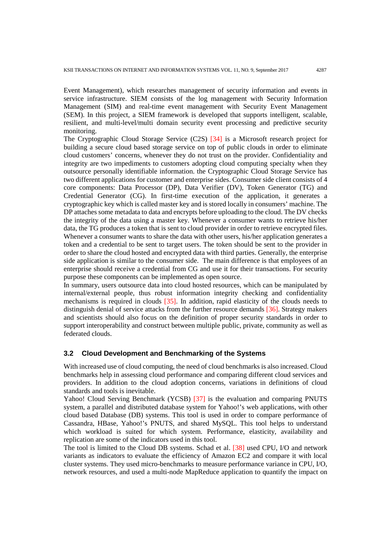Event Management), which researches management of security information and events in service infrastructure. SIEM consists of the log management with Security Information Management (SIM) and real-time event management with Security Event Management (SEM). In this project, a SIEM framework is developed that supports intelligent, scalable, resilient, and multi-level/multi domain security event processing and predictive security monitoring.

The Cryptographic Cloud Storage Service (C2S) [34] is a Microsoft research project for building a secure cloud based storage service on top of public clouds in order to eliminate cloud customers' concerns, whenever they do not trust on the provider. Confidentiality and integrity are two impediments to customers adopting cloud computing specialty when they outsource personally identifiable information. the Cryptographic Cloud Storage Service has two different applications for customer and enterprise sides. Consumer side client consists of 4 core components: Data Processor (DP), Data Verifier (DV), Token Generator (TG) and Credential Generator (CG). In first-time execution of the application, it generates a cryptographic key which is called master key and is stored locally in consumers' machine. The DP attaches some metadata to data and encrypts before uploading to the cloud. The DV checks the integrity of the data using a master key. Whenever a consumer wants to retrieve his/her data, the TG produces a token that is sent to cloud provider in order to retrieve encrypted files. Whenever a consumer wants to share the data with other users, his/her application generates a token and a credential to be sent to target users. The token should be sent to the provider in order to share the cloud hosted and encrypted data with third parties. Generally, the enterprise side application is similar to the consumer side. The main difference is that employees of an enterprise should receive a credential from CG and use it for their transactions. For security purpose these components can be implemented as open source.

In summary, users outsource data into cloud hosted resources, which can be manipulated by internal/external people, thus robust information integrity checking and confidentiality mechanisms is required in clouds [35]. In addition, rapid elasticity of the clouds needs to distinguish denial of service attacks from the further resource demands [36]. Strategy makers and scientists should also focus on the definition of proper security standards in order to support interoperability and construct between multiple public, private, community as well as federated clouds.

### **3.2 Cloud Development and Benchmarking of the Systems**

With increased use of cloud computing, the need of cloud benchmarks is also increased. Cloud benchmarks help in assessing cloud performance and comparing different cloud services and providers. In addition to the cloud adoption concerns, variations in definitions of cloud standards and tools is inevitable.

Yahoo! Cloud Serving Benchmark (YCSB) [37] is the evaluation and comparing PNUTS system, a parallel and distributed database system for Yahoo!'s web applications, with other cloud based Database (DB) systems. This tool is used in order to compare performance of Cassandra, HBase, Yahoo!'s PNUTS, and shared MySQL. This tool helps to understand which workload is suited for which system. Performance, elasticity, availability and replication are some of the indicators used in this tool.

The tool is limited to the Cloud DB systems. Schad et al. [38] used CPU, I/O and network variants as indicators to evaluate the efficiency of Amazon EC2 and compare it with local cluster systems. They used micro-benchmarks to measure performance variance in CPU, I/O, network resources, and used a multi-node MapReduce application to quantify the impact on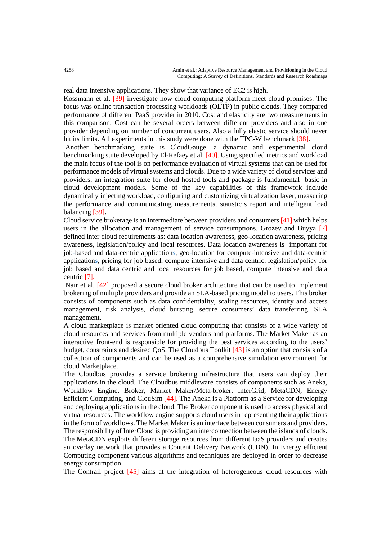real data intensive applications. They show that variance of EC2 is high.

Kossmann et al. [39] investigate how cloud computing platform meet cloud promises. The focus was online transaction processing workloads (OLTP) in public clouds. They compared performance of different PaaS provider in 2010. Cost and elasticity are two measurements in this comparison. Cost can be several orders between different providers and also in one provider depending on number of concurrent users. Also a fully elastic service should never hit its limits. All experiments in this study were done with the TPC-W benchmark [38].

Another benchmarking suite is CloudGauge, a dynamic and experimental cloud benchmarking suite developed by El-Refaey et al. [40]. Using specified metrics and workload the main focus of the tool is on performance evaluation of virtual systems that can be used for performance models of virtual systems and clouds. Due to a wide variety of cloud services and providers, an integration suite for cloud hosted tools and package is fundamental basic in cloud development models. Some of the key capabilities of this framework include dynamically injecting workload, configuring and customizing virtualization layer, measuring the performance and communicating measurements, statistic's report and intelligent load balancing [39].

Cloud service brokerage is an intermediate between providers and consumers [41] which helps users in the allocation and management of service consumptions. Grozev and Buyya [7] defined inter cloud requirements as: data location awareness, geo-location awareness, pricing awareness, legislation/policy and local resources. Data location awareness is important for job**-**based and data**-**centric application**s**, geo**-**location for compute**-**intensive and data**-**centric application**s**, pricing for job based, compute intensive and data centric, legislation/policy for job based and data centric and local resources for job based, compute intensive and data centric [7].

Nair et al. [42] proposed a secure cloud broker architecture that can be used to implement brokering of multiple providers and provide an SLA-based pricing model to users. This broker consists of components such as data confidentiality, scaling resources, identity and access management, risk analysis, cloud bursting, secure consumers' data transferring, SLA management.

A cloud marketplace is market oriented cloud computing that consists of a wide variety of cloud resources and services from multiple vendors and platforms. The Market Maker as an interactive front-end is responsible for providing the best services according to the users' budget, constraints and desired QoS. The Cloudbus Toolkit [43] is an option that consists of a collection of components and can be used as a comprehensive simulation environment for cloud Marketplace.

The Cloudbus provides a service brokering infrastructure that users can deploy their applications in the cloud. The Cloudbus middleware consists of components such as Aneka, Workflow Engine, Broker, Market Maker/Meta-broker, InterGrid, MetaCDN, Energy Efficient Computing, and ClouSim [44]. The Aneka is a Platform as a Service for developing and deploying applications in the cloud. The Broker component is used to access physical and virtual resources. The workflow engine supports cloud users in representing their applications in the form of workflows. The Market Maker is an interface between consumers and providers. The responsibility of InterCloud is providing an interconnection between the islands of clouds. The MetaCDN exploits different storage resources from different IaaS providers and creates an overlay network that provides a Content Delivery Network (CDN). In Energy efficient Computing component various algorithms and techniques are deployed in order to decrease energy consumption.

The Contrail project [45] aims at the integration of heterogeneous cloud resources with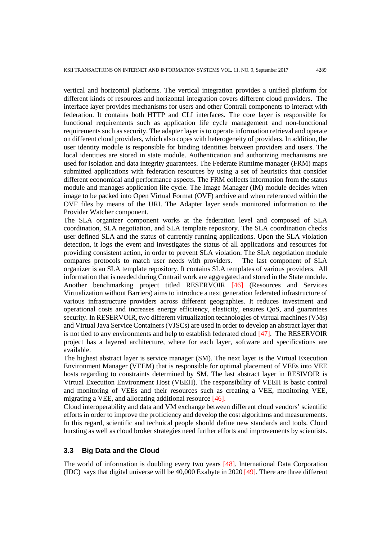vertical and horizontal platforms. The vertical integration provides a unified platform for different kinds of resources and horizontal integration covers different cloud providers. The interface layer provides mechanisms for users and other Contrail components to interact with federation. It contains both HTTP and CLI interfaces. The core layer is responsible for functional requirements such as application life cycle management and non-functional requirements such as security. The adapter layer is to operate information retrieval and operate on different cloud providers, which also copes with heterogeneity of providers. In addition, the user identity module is responsible for binding identities between providers and users. The local identities are stored in state module. Authentication and authorizing mechanisms are used for isolation and data integrity guarantees. The Federate Runtime manager (FRM) maps submitted applications with federation resources by using a set of heuristics that consider different economical and performance aspects. The FRM collects information from the status module and manages application life cycle. The Image Manager (IM) module decides when image to be packed into Open Virtual Format (OVF) archive and when referenced within the OVF files by means of the URI. The Adapter layer sends monitored information to the Provider Watcher component.

The SLA organizer component works at the federation level and composed of SLA coordination, SLA negotiation, and SLA template repository. The SLA coordination checks user defined SLA and the status of currently running applications. Upon the SLA violation detection, it logs the event and investigates the status of all applications and resources for providing consistent action, in order to prevent SLA violation. The SLA negotiation module compares protocols to match user needs with providers. The last component of SLA organizer is an SLA template repository. It contains SLA templates of various providers. All information that is needed during Contrail work are aggregated and stored in the State module. Another benchmarking project titled RESERVOIR [46] (Resources and Services Virtualization without Barriers) aims to introduce a next generation federated infrastructure of various infrastructure providers across different geographies. It reduces investment and operational costs and increases energy efficiency, elasticity, ensures QoS, and guarantees security. In RESERVOIR, two different virtualization technologies of virtual machines (VMs) and Virtual Java Service Containers (VJSCs) are used in order to develop an abstract layer that is not tied to any environments and help to establish federated cloud [47]. The RESERVOIR project has a layered architecture, where for each layer, software and specifications are available.

The highest abstract layer is service manager (SM). The next layer is the Virtual Execution Environment Manager (VEEM) that is responsible for optimal placement of VEEs into VEE hosts regarding to constraints determined by SM. The last abstract layer in RESIVOIR is Virtual Execution Environment Host (VEEH). The responsibility of VEEH is basic control and monitoring of VEEs and their resources such as creating a VEE, monitoring VEE, migrating a VEE, and allocating additional resource [46].

Cloud interoperability and data and VM exchange between different cloud vendors' scientific efforts in order to improve the proficiency and develop the cost algorithms and measurements. In this regard, scientific and technical people should define new standards and tools. Cloud bursting as well as cloud broker strategies need further efforts and improvements by scientists.

## **3.3 Big Data and the Cloud**

The world of information is doubling every two years [48]. International Data Corporation (IDC) says that digital universe will be 40,000 Exabyte in 2020 [49]. There are three different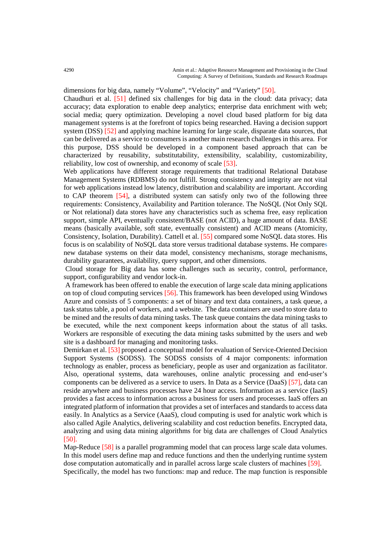dimensions for big data, namely "Volume", "Velocity" and "Variety" [50].

Chaudhuri et al. [51] defined six challenges for big data in the cloud: data privacy; data accuracy; data exploration to enable deep analytics; enterprise data enrichment with web; social media; query optimization. Developing a novel cloud based platform for big data management systems is at the forefront of topics being researched. Having a decision support system (DSS) [52] and applying machine learning for large scale, disparate data sources, that can be delivered as a service to consumers is another main research challenges in this area. For this purpose, DSS should be developed in a component based approach that can be characterized by reusability, substitutability, extensibility, scalability, customizability, reliability, low cost of ownership, and economy of scale [53].

Web applications have different storage requirements that traditional Relational Database Management Systems (RDBMS) do not fulfill. Strong consistency and integrity are not vital for web applications instead low latency, distribution and scalability are important. According to CAP theorem [54], a distributed system can satisfy only two of the following three requirements: Consistency, Availability and Partition tolerance. The NoSQL (Not Only SQL or Not relational) data stores have any characteristics such as schema free, easy replication support, simple API, eventually consistent/BASE (not ACID), a huge amount of data. BASE means (basically available, soft state, eventually consistent) and ACID means (Atomicity, Consistency, Isolation, Durability). Cattell et al. [55] compared some NoSQL data stores. His focus is on scalability of NoSQL data store versus traditional database systems. He compare**s** new database systems on their data model, consistency mechanisms, storage mechanisms, durability guarantees, availability, query support, and other dimensions.

Cloud storage for Big data has some challenges such as security, control, performance, support, configurability and vendor lock-in.

A framework has been offered to enable the execution of large scale data mining applications on top of cloud computing services [56]. This framework has been developed using Windows Azure and consists of 5 components: a set of binary and text data containers, a task queue, a task status table, a pool of workers, and a website. The data containers are used to store data to be mined and the results of data mining tasks. The task queue contains the data mining tasks to be executed, while the next component keeps information about the status of all tasks. Workers are responsible of executing the data mining tasks submitted by the users and web site is a dashboard for managing and monitoring tasks.

Demirkan et al. [53] proposed a conceptual model for evaluation of Service-Oriented Decision Support Systems (SODSS). The SODSS consists of 4 major components: information technology as enabler, process as beneficiary, people as user and organization as facilitator. Also, operational systems, data warehouses, online analytic processing and end-user's components can be delivered as a service to users. In Data as a Service (DaaS) [57], data can reside anywhere and business processes have 24 hour access. Information as a service (IaaS) provides a fast access to information across a business for users and processes. IaaS offers an integrated platform of information that provides a set of interfaces and standards to access data easily. In Analytics as a Service (AaaS), cloud computing is used for analytic work which is also called Agile Analytics, delivering scalability and cost reduction benefits. Encrypted data, analyzing and using data mining algorithms for big data are challenges of Cloud Analytics [50].

Map-Reduce [58] is a parallel programming model that can process large scale data volumes. In this model users define map and reduce functions and then the underlying runtime system dose computation automatically and in parallel across large scale clusters of machines [59]. Specifically, the model has two functions: map and reduce. The map function is responsible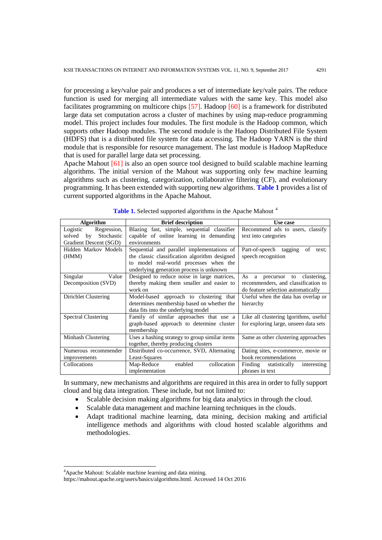for processing a key/value pair and produces a set of intermediate key/vale pairs. The reduce function is used for merging all intermediate values with the same key. This model also facilitates programming on multicore chips [57]. Hadoop [60] is a framework for distributed large data set computation across a cluster of machines by using map-reduce programming model. This project includes four modules. The first module is the Hadoop common, which supports other Hadoop modules. The second module is the Hadoop Distributed File System (HDFS) that is a distributed file system for data accessing. The Hadoop YARN is the third module that is responsible for resource management. The last module is Hadoop MapReduce that is used for parallel large data set processing.

Apache Mahout  $[61]$  is also an open source tool designed to build scalable machine learning algorithms. The initial version of the Mahout was supporting only few machine learning algorithms such as clustering, categorization, collaborative filtering (CF), and evolutionary programming. It has been extended with supporting new algorithms. **Table 1** provides a list of current supported algorithms in the Apache Mahout.

| <b>Algorithm</b>           | <b>Brief description</b>                       | Use case                              |  |  |  |  |  |  |  |  |
|----------------------------|------------------------------------------------|---------------------------------------|--|--|--|--|--|--|--|--|
| Logistic<br>Regression,    | Blazing fast, simple, sequential classifier    | Recommend ads to users, classify      |  |  |  |  |  |  |  |  |
| by<br>Stochastic<br>solved | capable of online learning in demanding        | text into categories                  |  |  |  |  |  |  |  |  |
| Gradient Descent (SGD)     | environments                                   |                                       |  |  |  |  |  |  |  |  |
| Hidden Markov Models       | Sequential and parallel implementations of     | Part-of-speech tagging<br>of<br>text: |  |  |  |  |  |  |  |  |
| (HMM)                      | the classic classification algorithm designed  | speech recognition                    |  |  |  |  |  |  |  |  |
|                            | to model real-world processes when the         |                                       |  |  |  |  |  |  |  |  |
|                            | underlying generation process is unknown       |                                       |  |  |  |  |  |  |  |  |
| Value<br>Singular          | Designed to reduce noise in large matrices,    | As a<br>precursor to clustering,      |  |  |  |  |  |  |  |  |
| Decomposition (SVD)        | thereby making them smaller and easier to      | recommenders, and classification to   |  |  |  |  |  |  |  |  |
|                            | work on                                        | do feature selection automatically    |  |  |  |  |  |  |  |  |
| Dirichlet Clustering       | Model-based approach to clustering that        | Useful when the data has overlap or   |  |  |  |  |  |  |  |  |
|                            | determines membership based on whether the     | hierarchy                             |  |  |  |  |  |  |  |  |
|                            | data fits into the underlying model            |                                       |  |  |  |  |  |  |  |  |
| <b>Spectral Clustering</b> | Family of similar approaches that use a        | Like all clustering lgorithms, useful |  |  |  |  |  |  |  |  |
|                            | graph-based approach to determine cluster      | for exploring large, unseen data sets |  |  |  |  |  |  |  |  |
|                            | membership                                     |                                       |  |  |  |  |  |  |  |  |
| Minhash Clustering         | Uses a hashing strategy to group similar items | Same as other clustering approaches   |  |  |  |  |  |  |  |  |
|                            | together, thereby producing clusters           |                                       |  |  |  |  |  |  |  |  |
| Numerous recommender       | Distributed co-occurrence, SVD, Alternating    | Dating sites, e-commerce, movie or    |  |  |  |  |  |  |  |  |
| improvements               | Least-Squares                                  | book recommendations                  |  |  |  |  |  |  |  |  |
| Collocations               | collocation<br>Map-Reduce<br>enabled           | Finding statistically<br>interesting  |  |  |  |  |  |  |  |  |
|                            | implementation                                 | phrases in text                       |  |  |  |  |  |  |  |  |

Table 1. Selected supported algorithms in the Apache Mahout<sup>[4](#page-11-0)</sup>

In summary, new mechanisms and algorithms are required in this area in order to fully support cloud and big data integration. These include, but not limited to:

- Scalable decision making algorithms for big data analytics in through the cloud.
- Scalable data management and machine learning techniques in the clouds.
- Adapt traditional machine learning, data mining, decision making and artificial intelligence methods and algorithms with cloud hosted scalable algorithms and methodologies.

-

<span id="page-11-0"></span><sup>4</sup> Apache Mahout: Scalable machine learning and data mining.

https://mahout.apache.org/users/basics/algorithms.html. Accessed 14 Oct 2016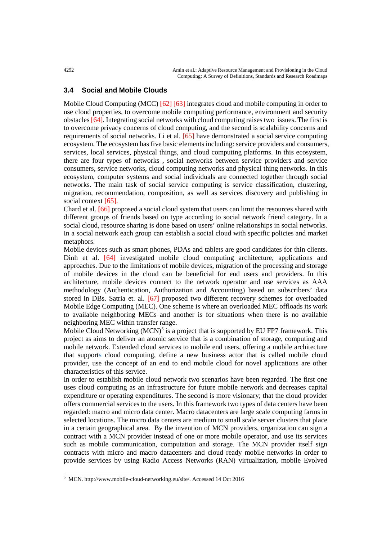#### **3.4 Social and Mobile Clouds**

Mobile Cloud Computing (MCC) [62] [63] integrates cloud and mobile computing in order to use cloud properties, to overcome mobile computing performance, environment and security obstacles [64]. Integrating social networks with cloud computing raises two issues. The first is to overcome privacy concerns of cloud computing, and the second is scalability concerns and requirements of social networks. Li et al. [65] have demonstrated a social service computing ecosystem. The ecosystem has five basic elements including: service providers and consumers, services, local services, physical things, and cloud computing platforms. In this ecosystem, there are four types of networks , social networks between service providers and service consumers, service networks, cloud computing networks and physical thing networks. In this ecosystem, computer systems and social individuals are connected together through social networks. The main task of social service computing is service classification, clustering, migration, recommendation, composition, as well as services discovery and publishing in social context [65].

Chard et al. [66] proposed a social cloud system that users can limit the resources shared with different groups of friends based on type according to social network friend category. In a social cloud, resource sharing is done based on users' online relationships in social networks. In a social network each group can establish a social cloud with specific policies and market metaphors.

Mobile devices such as smart phones, PDAs and tablets are good candidates for thin clients. Dinh et al. [64] investigated mobile cloud computing architecture, applications and approaches. Due to the limitations of mobile devices, migration of the processing and storage of mobile devices in the cloud can be beneficial for end users and providers. In this architecture, mobile devices connect to the network operator and use services as AAA methodology (Authentication, Authorization and Accounting) based on subscribers' data stored in DBs. Satria et. al. [67] proposed two different recovery schemes for overloaded Mobile Edge Computing (MEC). One scheme is where an overloaded MEC offloads its work to available neighboring MECs and another is for situations when there is no available neighboring MEC within transfer range.

Mobile Cloud Networking  $(MCN)^5$  $(MCN)^5$  is a project that is supported by EU FP7 framework. This project as aims to deliver an atomic service that is a combination of storage, computing and mobile network. Extended cloud services to mobile end users, offering a mobile architecture that support**s** cloud computing, define a new business actor that is called mobile cloud provider, use the concept of an end to end mobile cloud for novel applications are other characteristics of this service.

In order to establish mobile cloud network two scenarios have been regarded. The first one uses cloud computing as an infrastructure for future mobile network and decreases capital expenditure or operating expenditures. The second is more visionary; that the cloud provider offers commercial services to the users. In this framework two types of data centers have been regarded: macro and micro data center. Macro datacenters are large scale computing farms in selected locations. The micro data centers are medium to small scale server clusters that place in a certain geographical area. By the invention of MCN providers, organization can sign a contract with a MCN provider instead of one or more mobile operator, and use its services such as mobile communication, computation and storage. The MCN provider itself sign contracts with micro and macro datacenters and cloud ready mobile networks in order to provide services by using Radio Access Networks (RAN) virtualization, mobile Evolved

j

<span id="page-12-0"></span><sup>&</sup>lt;sup>5</sup> MCN. http://www.mobile-cloud-networking.eu/site/. Accessed 14 Oct 2016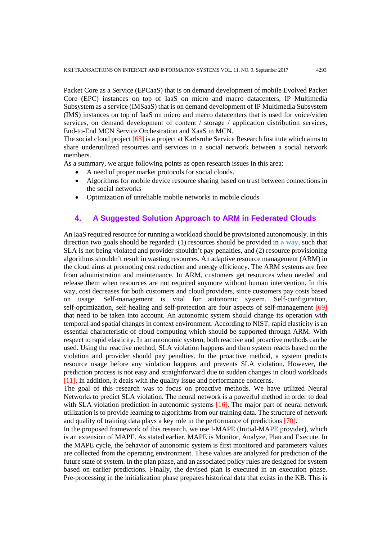Packet Core as a Service (EPCaaS) that is on demand development of mobile Evolved Packet Core (EPC) instances on top of IaaS on micro and macro datacenters, IP Multimedia Subsystem as a service (IMSaaS) that is on demand development of IP Multimedia Subsystem (IMS) instances on top of IaaS on micro and macro datacenters that is used for voice/video services, on demand development of content / storage / application distribution services, End-to-End MCN Service Orchestration and XaaS in MCN.

The social cloud project [68] is a project at Karlsruhe Service Research Institute which aims to share underutilized resources and services in a social network between a social network members.

As a summary, we argue following points as open research issues in this area:

- A need of proper market protocols for social clouds.
- Algorithms for mobile device resource sharing based on trust between connections in the social networks
- Optimization of unreliable mobile networks in mobile clouds

## **4. A Suggested Solution Approach to ARM in Federated Clouds**

An IaaS required resource for running a workload should be provisioned autonomously. In this direction two goals should be regarded: (1) resources should be provided in **a way,** such that SLA is not being violated and provider shouldn't pay penalties, and (2) resource provisioning algorithms shouldn't result in wasting resources. An adaptive resource management (ARM) in the cloud aims at promoting cost reduction and energy efficiency. The ARM systems are free from administration and maintenance. In ARM, customers get resources when needed and release them when resources are not required anymore without human intervention. In this way, cost decreases for both customers and cloud providers, since customers pay costs based on usage. Self-management is vital for autonomic system. Self-configuration, self-optimization, self-healing and self-protection are four aspects of self-management [69] that need to be taken into account. An autonomic system should change its operation with temporal and spatial changes in context environment. According to NIST, rapid elasticity is an essential characteristic of cloud computing which should be supported through ARM. With respect to rapid elasticity. In an autonomic system, both reactive and proactive methods can be used. Using the reactive method, SLA violation happens and then system reacts based on the violation and provider should pay penalties. In the proactive method, a system predicts resource usage before any violation happens and prevents SLA violation. However, the prediction process is not easy and straightforward due to sudden changes in cloud workloads [11]. In addition, it deals with the quality issue and performance concerns.

The goal of this research was to focus on proactive methods. We have utilized Neural Networks to predict SLA violation. The neural network is a powerful method in order to deal with SLA violation prediction in autonomic systems [16]. The major part of neural network utilization is to provide learning to algorithms from our training data. The structure of network and quality of training data plays a key role in the performance of predictions [70].

In the proposed framework of this research, we use I-MAPE (Initial-MAPE provider), which is an extension of MAPE. As stated earlier, MAPE is Monitor, Analyze, Plan and Execute. In the MAPE cycle, the behavior of autonomic system is first monitored and parameters values are collected from the operating environment. These values are analyzed for prediction of the future state of system. In the plan phase, and an associated policy rules are designed for system based on earlier predictions. Finally, the devised plan is executed in an execution phase. Pre-processing in the initialization phase prepares historical data that exists in the KB. This is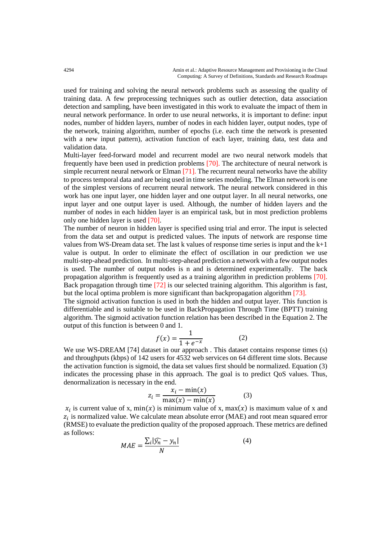used for training and solving the neural network problems such as assessing the quality of training data. A few preprocessing techniques such as outlier detection, data association detection and sampling, have been investigated in this work to evaluate the impact of them in neural network performance. In order to use neural networks, it is important to define: input nodes, number of hidden layers, number of nodes in each hidden layer, output nodes, type of the network, training algorithm, number of epochs (i.e. each time the network is presented with a new input pattern), activation function of each layer, training data, test data and validation data.

Multi-layer feed-forward model and recurrent model are two neural network models that frequently have been used in prediction problems [70]. The architecture of neural network is simple recurrent neural network or Elman [71]. The recurrent neural networks have the ability to process temporal data and are being used in time series modeling. The Elman network is one of the simplest versions of recurrent neural network. The neural network considered in this work has one input layer, one hidden layer and one output layer. In all neural networks, one input layer and one output layer is used. Although, the number of hidden layers and the number of nodes in each hidden layer is an empirical task, but in most prediction problems only one hidden layer is used [70].

The number of neuron in hidden layer is specified using trial and error. The input is selected from the data set and output is predicted values. The inputs of network are response time values from WS-Dream data set. The last k values of response time series is input and the  $k+1$ value is output. In order to eliminate the effect of oscillation in our prediction we use multi-step-ahead prediction. In multi-step-ahead prediction a network with a few output nodes is used. The number of output nodes is n and is determined experimentally. The back propagation algorithm is frequently used as a training algorithm in prediction problems [70]. Back propagation through time [72] is our selected training algorithm. This algorithm is fast, but the local optima problem is more significant than backpropagation algorithm [73].

The sigmoid activation function is used in both the hidden and output layer. This function is differentiable and is suitable to be used in BackPropagation Through Time (BPTT) training algorithm. The sigmoid activation function relation has been described in the Equation 2. The output of this function is between 0 and 1.

$$
f(x) = \frac{1}{1 + e^{-x}}
$$
 (2)

 $f(x) = \frac{1}{1 + e^{-x}}$  (2)<br>We use WS-DREAM [74] dataset in our approach . This dataset contains response times (s) and throughputs (kbps) of 142 users for 4532 web services on 64 different time slots. Because the activation function is sigmoid, the data set values first should be normalized. Equation (3) indicates the processing phase in this approach. The goal is to predict QoS values. Thus, denormalization is necessary in the end.

$$
z_i = \frac{x_i - \min(x)}{\max(x) - \min(x)}\tag{3}
$$

 $x_i$  is current value of x, min(x) is minimum value of x, max(x) is maximum value of x and  $z_i$  is normalized value. We calculate mean absolute error (MAE) and root mean squared error (RMSE) to evaluate the prediction quality of the proposed approach. These metrics are defined as follows:

$$
MAE = \frac{\sum_{i} |\widehat{y_n} - y_n|}{N}
$$
\n(4)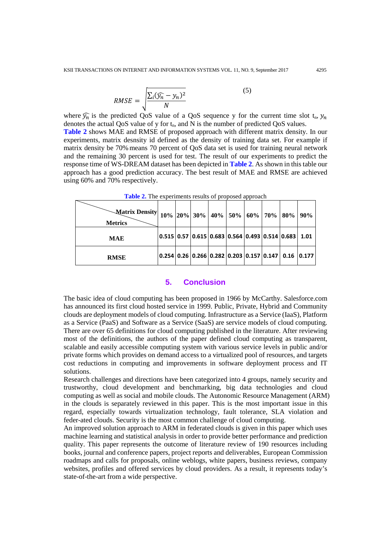$$
RMSE = \sqrt{\frac{\sum_{i} (\widehat{y}_n - y_n)^2}{N}}
$$
 (5)

where  $\widehat{y}_n$  is the predicted QoS value of a QoS sequence y for the current time slot  $t_n$ ,  $y_n$ denotes the actual QoS value of y for  $t_n$ , and N is the number of predicted QoS values. **Table 2** shows MAE and RMSE of proposed approach with different matrix density. In our experiments, matrix desnsity id defined as the density of training data set. For example if matrix density be 70% means 70 percent of QoS data set is used for training neural network and the remaining 30 percent is used for test. The result of our experiments to predict the response time of WS-DREAM dataset has been depicted in **Table 2**. As shown in this table our approach has a good prediction accuracy. The best result of MAE and RMSE are achieved using 60% and 70% respectively.

| -Matrix Density 10% 20% 30% 40% 50% 60% 70% 80% 90%  <br><b>Metrics</b> |  |  |  |                                                                               |  |
|-------------------------------------------------------------------------|--|--|--|-------------------------------------------------------------------------------|--|
| <b>MAE</b>                                                              |  |  |  | 0.515   0.57   0.615   0.683   0.564   0.493   0.514   0.683   $\,$ 1.01 $\,$ |  |
| <b>RMSE</b>                                                             |  |  |  | 0.254   0.26   0.266   0.282   0.203   0.157   0.147     0.16     0.177       |  |

**Table 2.** The experiments results of proposed approach

#### **5. Conclusion**

The basic idea of cloud computing has been proposed in 1966 by McCarthy. Salesforce.com has announced its first cloud hosted service in 1999. Public, Private, Hybrid and Community clouds are deployment models of cloud computing. Infrastructure as a Service (IaaS), Platform as a Service (PaaS) and Software as a Service (SaaS) are service models of cloud computing. There are over 65 definitions for cloud computing published in the literature. After reviewing most of the definitions, the authors of the paper defined cloud computing as transparent, scalable and easily accessible computing system with various service levels in public and/or private forms which provides on demand access to a virtualized pool of resources, and targets cost reductions in computing and improvements in software deployment process and IT solutions.

Research challenges and directions have been categorized into 4 groups, namely security and trustworthy, cloud development and benchmarking, big data technologies and cloud computing as well as social and mobile clouds. The Autonomic Resource Management (ARM) in the clouds is separately reviewed in this paper. This is the most important issue in this regard, especially towards virtualization technology, fault tolerance, SLA violation and feder-ated clouds. Security is the most common challenge of cloud computing.

An improved solution approach to ARM in federated clouds is given in this paper which uses machine learning and statistical analysis in order to provide better performance and prediction quality. This paper represents the outcome of literature review of 190 resources including books, journal and conference papers, project reports and deliverables, European Commission roadmaps and calls for proposals, online weblogs, white papers, business reviews, company websites, profiles and offered services by cloud providers. As a result, it represents today's state-of-the-art from a wide perspective.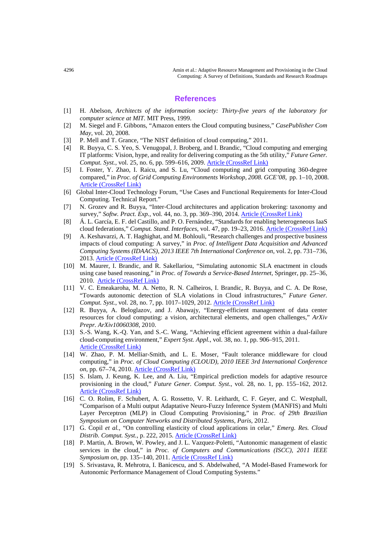#### **References**

- [1] H. Abelson, *Architects of the information society: Thirty-five years of the laboratory for computer science at MIT*. MIT Press, 1999.
- [2] M. Siegel and F. Gibbons, "Amazon enters the Cloud computing business," *CasePublisher Com May*, vol. 20, 2008.
- [3] P. Mell and T. Grance, "The NIST definition of cloud computing," 2011.
- [4] R. Buyya, C. S. Yeo, S. Venugopal, J. Broberg, and I. Brandic, "Cloud computing and emerging IT platforms: Vision, hype, and reality for delivering computing as the 5th utility," *Future Gener. Comput. Syst.*, vol. 25, no. 6, pp. 599–616, 2009. [Article \(CrossRef Link\)](https://doi.org/10.1016/j.future.2008.12.001)
- [5] I. Foster, Y. Zhao, I. Raicu, and S. Lu, "Cloud computing and grid computing 360-degree compared," in *Proc. of Grid Computing Environments Workshop, 2008. GCE'08*, pp. 1–10, 2008. [Article \(CrossRef Link\)](https://doi.org/10.1109/gce.2008.4738445)
- [6] Global Inter-Cloud Technology Forum, "Use Cases and Functional Requirements for Inter-Cloud Computing. Technical Report."
- [7] N. Grozev and R. Buyya, "Inter‐Cloud architectures and application brokering: taxonomy and survey," *Softw. Pract. Exp.*, vol. 44, no. 3, pp. 369–390, 2014. [Article \(CrossRef Link\)](https://doi.org/10.1002/spe.2168)
- [8] Á. L. García, E. F. del Castillo, and P. O. Fernández, "Standards for enabling heterogeneous IaaS cloud federations," *Comput. Stand. Interfaces*, vol. 47, pp. 19–23, 2016. [Article \(CrossRef Link\)](https://doi.org/10.1016/j.csi.2016.02.002)
- [9] A. Keshavarzi, A. T. Haghighat, and M. Bohlouli, "Research challenges and prospective business impacts of cloud computing: A survey," in *Proc. of Intelligent Data Acquisition and Advanced Computing Systems (IDAACS), 2013 IEEE 7th International Conference on*, vol. 2, pp. 731–736, 2013. [Article \(CrossRef Link\)](https://doi.org/10.1109/idaacs.2013.6663021)
- [10] M. Maurer, I. Brandic, and R. Sakellariou, "Simulating autonomic SLA enactment in clouds using case based reasoning," in *Proc. of Towards a Service-Based Internet*, Springer, pp. 25–36, 2010. [Article \(CrossRef Link\)](https://doi.org/10.1007/978-3-642-17694-4_3)
- [11] V. C. Emeakaroha, M. A. Netto, R. N. Calheiros, I. Brandic, R. Buyya, and C. A. De Rose, "Towards autonomic detection of SLA violations in Cloud infrastructures," *Future Gener. Comput. Syst.*, vol. 28, no. 7, pp. 1017–1029, 2012. [Article \(CrossRef Link\)](https://doi.org/10.1016/j.future.2011.08.018)
- [12] R. Buyya, A. Beloglazov, and J. Abawajy, "Energy-efficient management of data center resources for cloud computing: a vision, architectural elements, and open challenges," *ArXiv Prepr. ArXiv10060308*, 2010.
- [13] S.-S. Wang, K.-Q. Yan, and S.-C. Wang, "Achieving efficient agreement within a dual-failure cloud-computing environment," *Expert Syst. Appl.*, vol. 38, no. 1, pp. 906–915, 2011. [Article \(CrossRef Link\)](https://doi.org/10.1016/j.eswa.2010.07.072)
- [14] W. Zhao, P. M. Melliar-Smith, and L. E. Moser, "Fault tolerance middleware for cloud computing," in *Proc. of Cloud Computing (CLOUD), 2010 IEEE 3rd International Conference on*, pp. 67–74, 2010. [Article \(CrossRef Link\)](https://doi.org/10.1109/cloud.2010.26)
- [15] S. Islam, J. Keung, K. Lee, and A. Liu, "Empirical prediction models for adaptive resource provisioning in the cloud," *Future Gener. Comput. Syst.*, vol. 28, no. 1, pp. 155–162, 2012. [Article \(CrossRef Link\)](https://doi.org/10.1016/j.future.2011.05.027)
- [16] C. O. Rolim, F. Schubert, A. G. Rossetto, V. R. Leithardt, C. F. Geyer, and C. Westphall, "Comparison of a Multi output Adaptative Neuro-Fuzzy Inference System (MANFIS) and Multi Layer Perceptron (MLP) in Cloud Computing Provisioning," in *Proc. of 29th Brazilian Symposium on Computer Networks and Distributed Systems, Paris*, 2012.
- [17] G. Copil *et al.*, "On controlling elasticity of cloud applications in celar," *Emerg. Res. Cloud Distrib. Comput. Syst.*, p. 222, 2015. [Article \(CrossRef Link\)](https://doi.org/10.4018/978-1-4666-8213-9.ch007)
- [18] P. Martin, A. Brown, W. Powley, and J. L. Vazquez-Poletti, "Autonomic management of elastic services in the cloud," in *Proc. of Computers and Communications (ISCC), 2011 IEEE Symposium on*, pp. 135–140, 2011. [Article \(CrossRef Link\)](https://doi.org/10.1109/iscc.2011.5984006)
- [19] S. Srivastava, R. Mehrotra, I. Banicescu, and S. Abdelwahed, "A Model-Based Framework for Autonomic Performance Management of Cloud Computing Systems."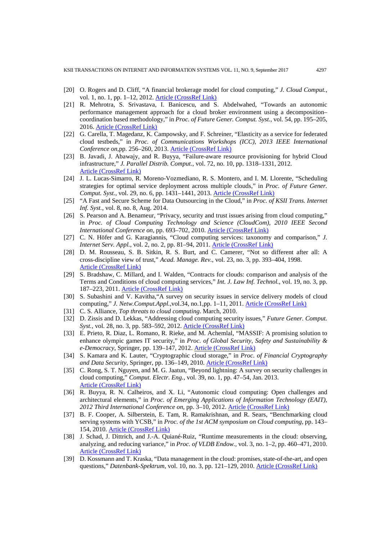- [20] O. Rogers and D. Cliff, "A financial brokerage model for cloud computing," *J. Cloud Comput.*, vol. 1, no. 1, pp. 1–12, 2012. **[Article \(CrossRef Link\)](https://doi.org/10.1186/2192-113X-1-2)**
- [21] R. Mehrotra, S. Srivastava, I. Banicescu, and S. Abdelwahed, "Towards an autonomic performance management approach for a cloud broker environment using a decomposition– coordination based methodology," in *Proc. of Future Gener. Comput. Syst.*, vol. 54, pp. 195–205, 2016. [Article \(CrossRef Link\)](https://doi.org/10.1016/j.future.2015.03.020)
- [22] G. Carella, T. Magedanz, K. Campowsky, and F. Schreiner, "Elasticity as a service for federated cloud testbeds," in *Proc. of Communications Workshops (ICC), 2013 IEEE International Conference on*,pp. 256–260, 2013. [Article \(CrossRef Link\)](https://doi.org/10.1109/iccw.2013.6649239)
- [23] B. Javadi, J. Abawajy, and R. Buyya, "Failure-aware resource provisioning for hybrid Cloud infrastructure," *J. Parallel Distrib. Comput.*, vol. 72, no. 10, pp. 1318–1331, 2012. [Article \(CrossRef Link\)](https://doi.org/10.1016/j.jpdc.2012.06.012)
- [24] J. L. Lucas-Simarro, R. Moreno-Vozmediano, R. S. Montero, and I. M. Llorente, "Scheduling strategies for optimal service deployment across multiple clouds," in *Proc. of Future Gener. Comput. Syst.*, vol. 29, no. 6, pp. 1431–1441, 2013. [Article \(CrossRef Link\)](https://doi.org/10.1016/j.future.2012.01.007)
- [25] "A Fast and Secure Scheme for Data Outsourcing in the Cloud," in *Proc. of KSII Trans. Internet Inf. Syst.*, vol. 8, no. 8, Aug. 2014.
- [26] S. Pearson and A. Benameur, "Privacy, security and trust issues arising from cloud computing," in *Proc. of Cloud Computing Technology and Science (CloudCom), 2010 IEEE Second International Conference on*, pp. 693–702, 2010. [Article \(CrossRef Link\)](https://doi.org/10.1109/cloudcom.2010.66)
- [27] C. N. Höfer and G. Karagiannis, "Cloud computing services: taxonomy and comparison," *J. Internet Serv. Appl.*, vol. 2, no. 2, pp. 81–94, 2011. [Article \(CrossRef Link\)](https://doi.org/10.1007/s13174-011-0027-x)
- [28] D. M. Rousseau, S. B. Sitkin, R. S. Burt, and C. Camerer, "Not so different after all: A cross-discipline view of trust," *Acad. Manage. Rev.*, vol. 23, no. 3, pp. 393–404, 1998. [Article \(CrossRef Link\)](https://doi.org/10.5465/AMR.1998.926617)
- [29] S. Bradshaw, C. Millard, and I. Walden, "Contracts for clouds: comparison and analysis of the Terms and Conditions of cloud computing services," *Int. J. Law Inf. Technol.*, vol. 19, no. 3, pp. 187–223, 2011. [Article \(CrossRef Link\)](https://doi.org/10.1093/ijlit/ear005)
- [30] S. Subashini and V. Kavitha,"A survey on security issues in service delivery models of cloud computing," *J. Netw.Comput.Appl.*,vol.34, no.1,pp. 1–11, 2011[. Article \(CrossRef Link\)](https://doi.org/10.1016/j.jnca.2010.07.006)
- [31] C. S. Alliance, *Top threats to cloud computing*. March, 2010.
- [32] D. Zissis and D. Lekkas, "Addressing cloud computing security issues," *Future Gener. Comput. Syst.*, vol. 28, no. 3, pp. 583–592, 2012. [Article \(CrossRef Link\)](https://doi.org/10.1016/j.future.2010.12.006)
- [33] E. Prieto, R. Diaz, L. Romano, R. Rieke, and M. Achemlal, "MASSIF: A promising solution to enhance olympic games IT security," in *Proc. of Global Security, Safety and Sustainability & e-Democracy*, Springer, pp. 139–147, 2012. [Article \(CrossRef Link\)](https://doi.org/10.1007/978-3-642-33448-1_20)
- [34] S. Kamara and K. Lauter, "Cryptographic cloud storage," in *Proc. of Financial Cryptography and Data Security*, Springer, pp. 136–149, 2010. [Article \(CrossRef Link\)](https://doi.org/10.1007/978-3-642-14992-4_13)
- [35] C. Rong, S. T. Nguyen, and M. G. Jaatun, "Beyond lightning: A survey on security challenges in cloud computing," *Comput. Electr. Eng.*, vol. 39, no. 1, pp. 47–54, Jan. 2013. [Article \(CrossRef Link\)](https://doi.org/10.1016/j.compeleceng.2012.04.015)
- [36] R. Buyya, R. N. Calheiros, and X. Li, "Autonomic cloud computing: Open challenges and architectural elements," in *Proc. of Emerging Applications of Information Technology (EAIT), 2012 Third International Conference on*, pp. 3–10, 2012. [Article \(CrossRef Link\)](https://doi.org/10.1109/eait.2012.6407847)
- [37] B. F. Cooper, A. Silberstein, E. Tam, R. Ramakrishnan, and R. Sears, "Benchmarking cloud serving systems with YCSB," in *Proc. of the 1st ACM symposium on Cloud computing*, pp. 143– 154, 2010. [Article \(CrossRef Link\)](https://doi.org/10.1145/1807128.1807152)
- [38] J. Schad, J. Dittrich, and J.-A. Quiané-Ruiz, "Runtime measurements in the cloud: observing, analyzing, and reducing variance," in *Proc. of VLDB Endow.*, vol. 3, no. 1–2, pp. 460–471, 2010. [Article \(CrossRef Link\)](https://doi.org/10.14778/1920841.1920902)
- [39] D. Kossmann and T. Kraska, "Data management in the cloud: promises, state-of-the-art, and open questions," *Datenbank-Spektrum*, vol. 10, no. 3, pp. 121–129, 2010. [Article \(CrossRef Link\)](https://doi.org/10.1007/s13222-010-0033-3)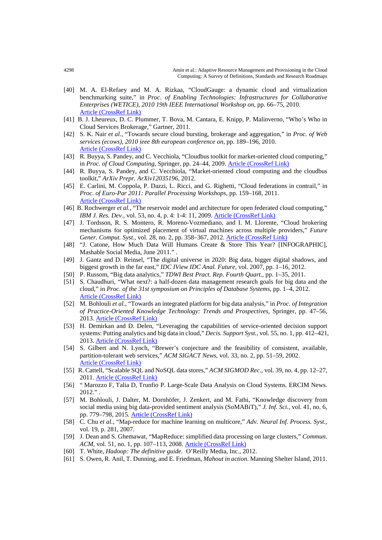- [40] M. A. El-Refaey and M. A. Rizkaa, "CloudGauge: a dynamic cloud and virtualization benchmarking suite," in *Proc. of Enabling Technologies: Infrastructures for Collaborative Enterprises (WETICE), 2010 19th IEEE International Workshop on*, pp. 66–75, 2010. [Article \(CrossRef Link\)](https://doi.org/10.1109/wetice.2010.17)
- [41] B. J. Lheureux, D. C. Plummer, T. Bova, M. Cantara, E. Knipp, P. Malinverno, "Who's Who in Cloud Services Brokerage," Gartner, 2011.
- [42] S. K. Nair *et al.*, "Towards secure cloud bursting, brokerage and aggregation," in *Proc. of Web services (ecows), 2010 ieee 8th european conference on*, pp. 189–196, 2010. [Article \(CrossRef Link\)](https://doi.org/10.1109/ecows.2010.33)
- [43] R. Buyya, S. Pandey, and C. Vecchiola, "Cloudbus toolkit for market-oriented cloud computing," in *Proc. of Cloud Computing*, Springer, pp. 24–44, 2009. [Article \(CrossRef Link\)](https://doi.org/%2010.1007/978-3-642-10665-1_4)
- [44] R. Buyya, S. Pandey, and C. Vecchiola, "Market-oriented cloud computing and the cloudbus toolkit," *ArXiv Prepr. ArXiv12035196*, 2012.
- [45] E. Carlini, M. Coppola, P. Dazzi, L. Ricci, and G. Righetti, "Cloud federations in contrail," in *Proc. of Euro-Par 2011: Parallel Processing Workshops*, pp. 159–168, 2011. [Article \(CrossRef Link\)](https://doi.org/10.1007/978-3-642-29737-3_19)
- [46] B. Rochwerger *et al.*, "The reservoir model and architecture for open federated cloud computing," *IBM J. Res. Dev.*, vol. 53, no. 4, p. 4: 1-4: 11, 2009. [Article \(CrossRef Link\)](https://doi.org/10.1147/JRD.2009.5429058)
- [47] J. Tordsson, R. S. Montero, R. Moreno-Vozmediano, and I. M. Llorente, "Cloud brokering mechanisms for optimized placement of virtual machines across multiple providers," *Future Gener. Comput. Syst.*, vol. 28, no. 2, pp. 358–367, 2012. [Article \(CrossRef Link\)](https://doi.org/10.1016/j.future.2011.07.003)
- [48] "J. Catone, How Much Data Will Humans Create & Store This Year? [INFOGRAPHIC], Mashable Social Media, June 2011." .
- [49] J. Gantz and D. Reinsel, "The digital universe in 2020: Big data, bigger digital shadows, and biggest growth in the far east," *IDC IView IDC Anal. Future*, vol. 2007, pp. 1–16, 2012.
- [50] P. Russom, "Big data analytics," *TDWI Best Pract. Rep. Fourth Quart.*, pp. 1–35, 2011.
- [51] S. Chaudhuri, "What next?: a half-dozen data management research goals for big data and the cloud," in *Proc. of the 31st symposium on Principles of Database Systems*, pp. 1–4, 2012. [Article \(CrossRef Link\)](https://doi.org/10.1145/2213556.2213558)
- [52] M. Bohlouli *et al.*, "Towards an integrated platform for big data analysis," in *Proc. of Integration of Practice-Oriented Knowledge Technology: Trends and Prospectives*, Springer, pp. 47–56, 2013. [Article \(CrossRef Link\)](https://doi.org/10.1007/978-3-642-34471-8_4)
- [53] H. Demirkan and D. Delen, "Leveraging the capabilities of service-oriented decision support systems: Putting analytics and big data in cloud," *Decis. Support Syst.*, vol. 55, no. 1, pp. 412–421, 2013. [Article \(CrossRef Link\)](https://doi.org/10.1016/j.dss.2012.05.048)
- [54] S. Gilbert and N. Lynch, "Brewer's conjecture and the feasibility of consistent, available, partition-tolerant web services," *ACM SIGACT News*, vol. 33, no. 2, pp. 51–59, 2002. [Article \(CrossRef Link\)](https://doi.org/10.1145/564585.564601)
- [55] R. Cattell, "Scalable SQL and NoSQL data stores," *ACM SIGMOD Rec.*, vol. 39, no. 4, pp. 12–27, 2011. [Article \(CrossRef Link\)](https://doi.org/10.1145/1978915.1978919)
- [56] " Marozzo F, Talia D, Trunfio P. Large-Scale Data Analysis on Cloud Systems. ERCIM News. 2012." .
- [57] M. Bohlouli, J. Dalter, M. Dornhöfer, J. Zenkert, and M. Fathi, "Knowledge discovery from social media using big data-provided sentiment analysis (SoMABiT)," *J. Inf. Sci.*, vol. 41, no. 6, pp. 779–798, 2015. [Article \(CrossRef Link\)](https://doi.org/10.1177/0165551515602846)
- [58] C. Chu *et al.*, "Map-reduce for machine learning on multicore," *Adv. Neural Inf. Process. Syst.*, vol. 19, p. 281, 2007.
- [59] J. Dean and S. Ghemawat, "MapReduce: simplified data processing on large clusters," *Commun. ACM*, vol. 51, no. 1, pp. 107–113, 2008. [Article \(CrossRef Link\)](https://doi.org/10.1145/1327452.1327492)
- [60] T. White, *Hadoop: The definitive guide*. O'Reilly Media, Inc., 2012.
- [61] S. Owen, R. Anil, T. Dunning, and E. Friedman, *Mahout in action*. Manning Shelter Island, 2011.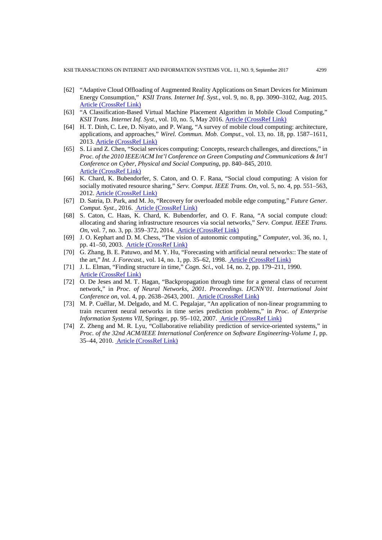- [62] "Adaptive Cloud Offloading of Augmented Reality Applications on Smart Devices for Minimum Energy Consumption," *KSII Trans. Internet Inf. Syst.*, vol. 9, no. 8, pp. 3090–3102, Aug. 2015. [Article \(CrossRef Link\)](https://doi.org/10.3837/tiis.2015.08.020)
- [63] "A Classification-Based Virtual Machine Placement Algorithm in Mobile Cloud Computing," *KSII Trans. Internet Inf. Syst.*, vol. 10, no. 5, May 2016. [Article \(CrossRef Link\)](http://dx.doi.org/10.3837/tiis.2016.05.003)
- [64] H. T. Dinh, C. Lee, D. Niyato, and P. Wang, "A survey of mobile cloud computing: architecture, applications, and approaches," *Wirel. Commun. Mob. Comput.*, vol. 13, no. 18, pp. 1587–1611, 2013. [Article \(CrossRef Link\)](https://doi.org/10.1002/wcm.1203)
- [65] S. Li and Z. Chen, "Social services computing: Concepts, research challenges, and directions," in *Proc. of the 2010 IEEE/ACM Int'l Conference on Green Computing and Communications & Int'l Conference on Cyber, Physical and Social Computing*, pp. 840–845, 2010. [Article \(CrossRef Link\)](https://doi.org/10.1109/greencom-cpscom.2010.122)
- [66] K. Chard, K. Bubendorfer, S. Caton, and O. F. Rana, "Social cloud computing: A vision for socially motivated resource sharing," *Serv. Comput. IEEE Trans. On*, vol. 5, no. 4, pp. 551–563, 2012. [Article \(CrossRef Link\)](https://doi.org/10.1109/TSC.2011.39)
- [67] D. Satria, D. Park, and M. Jo, "Recovery for overloaded mobile edge computing," *Future Gener. Comput. Syst.*, 2016. [Article \(CrossRef Link\)](http://doi.org/10.1016/j.future.2016.06.024)
- [68] S. Caton, C. Haas, K. Chard, K. Bubendorfer, and O. F. Rana, "A social compute cloud: allocating and sharing infrastructure resources via social networks," *Serv. Comput. IEEE Trans. On*, vol. 7, no. 3, pp. 359–372, 2014. [Article \(CrossRef Link\)](https://doi.org/10.1109/TSC.2014.2303091)
- [69] J. O. Kephart and D. M. Chess, "The vision of autonomic computing," *Computer*, vol. 36, no. 1, pp. 41–50, 2003. [Article \(CrossRef Link\)](https://doi.org/10.1109/MC.2003.1160055)
- [70] G. Zhang, B. E. Patuwo, and M. Y. Hu, "Forecasting with artificial neural networks:: The state of the art," *Int. J. Forecast.*, vol. 14, no. 1, pp. 35–62, 1998. [Article \(CrossRef Link\)](https://doi.org/10.1016/S0169-2070%2897%2900044-7)
- [71] J. L. Elman, "Finding structure in time," *Cogn. Sci.*, vol. 14, no. 2, pp. 179–211, 1990. [Article \(CrossRef Link\)](https://doi.org/10.1207/s15516709cog1402_1)
- [72] O. De Jeses and M. T. Hagan, "Backpropagation through time for a general class of recurrent network," in *Proc. of Neural Networks, 2001. Proceedings. IJCNN'01. International Joint Conference on, vol. 4, pp. 2638–2643, 2001.* **[Article \(CrossRef Link\)](https://doi.org/10.1109/ijcnn.2001.938786)**
- [73] M. P. Cuéllar, M. Delgado, and M. C. Pegalajar, "An application of non-linear programming to train recurrent neural networks in time series prediction problems," in *Proc. of Enterprise Information Systems VII*, Springer, pp. 95–102, 2007. [Article \(CrossRef Link\)](http://dx.doi.org/10.1007/978-1-4020-5347-4_11)
- [74] Z. Zheng and M. R. Lyu, "Collaborative reliability prediction of service-oriented systems," in *Proc. of the 32nd ACM/IEEE International Conference on Software Engineering-Volume 1*, pp. 35–44, 2010. [Article \(CrossRef Link\)](https://doi.org/10.1145/1806799.1806809)